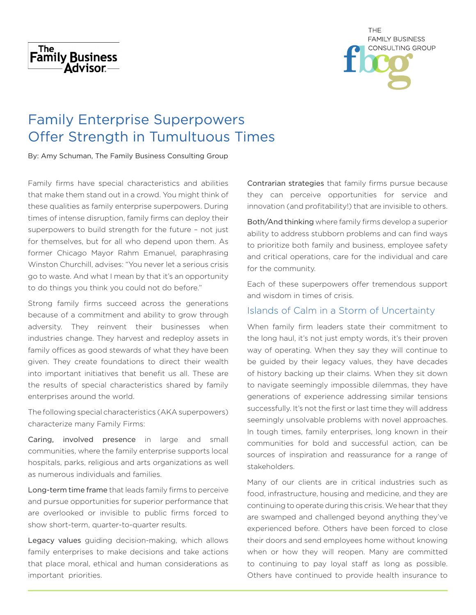



# Family Enterprise Superpowers Offer Strength in Tumultuous Times

By: Amy Schuman, The Family Business Consulting Group

Family firms have special characteristics and abilities that make them stand out in a crowd. You might think of these qualities as family enterprise superpowers. During times of intense disruption, family firms can deploy their superpowers to build strength for the future – not just for themselves, but for all who depend upon them. As former Chicago Mayor Rahm Emanuel, paraphrasing Winston Churchill, advises: "You never let a serious crisis go to waste. And what I mean by that it's an opportunity to do things you think you could not do before."

Strong family firms succeed across the generations because of a commitment and ability to grow through adversity. They reinvent their businesses when industries change. They harvest and redeploy assets in family offices as good stewards of what they have been given. They create foundations to direct their wealth into important initiatives that benefit us all. These are the results of special characteristics shared by family enterprises around the world.

The following special characteristics (AKA superpowers) characterize many Family Firms:

Caring, involved presence in large and small communities, where the family enterprise supports local hospitals, parks, religious and arts organizations as well as numerous individuals and families.

Long-term time frame that leads family firms to perceive and pursue opportunities for superior performance that are overlooked or invisible to public firms forced to show short-term, quarter-to-quarter results.

Legacy values guiding decision-making, which allows family enterprises to make decisions and take actions that place moral, ethical and human considerations as important priorities.

Contrarian strategies that family firms pursue because they can perceive opportunities for service and innovation (and profitability!) that are invisible to others.

Both/And thinking where family firms develop a superior ability to address stubborn problems and can find ways to prioritize both family and business, employee safety and critical operations, care for the individual and care for the community.

Each of these superpowers offer tremendous support and wisdom in times of crisis.

## Islands of Calm in a Storm of Uncertainty

When family firm leaders state their commitment to the long haul, it's not just empty words, it's their proven way of operating. When they say they will continue to be guided by their legacy values, they have decades of history backing up their claims. When they sit down to navigate seemingly impossible dilemmas, they have generations of experience addressing similar tensions successfully. It's not the first or last time they will address seemingly unsolvable problems with novel approaches. In tough times, family enterprises, long known in their communities for bold and successful action, can be sources of inspiration and reassurance for a range of stakeholders.

Many of our clients are in critical industries such as food, infrastructure, housing and medicine, and they are continuing to operate during this crisis. We hear that they are swamped and challenged beyond anything they've experienced before. Others have been forced to close their doors and send employees home without knowing when or how they will reopen. Many are committed to continuing to pay loyal staff as long as possible. Others have continued to provide health insurance to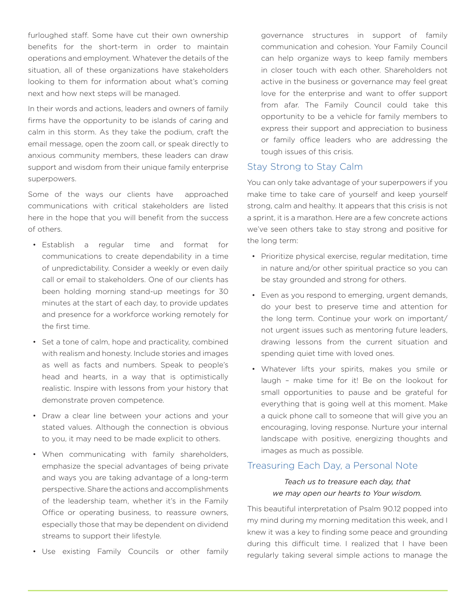furloughed staff. Some have cut their own ownership benefits for the short-term in order to maintain operations and employment. Whatever the details of the situation, all of these organizations have stakeholders looking to them for information about what's coming next and how next steps will be managed.

In their words and actions, leaders and owners of family firms have the opportunity to be islands of caring and calm in this storm. As they take the podium, craft the email message, open the zoom call, or speak directly to anxious community members, these leaders can draw support and wisdom from their unique family enterprise superpowers.

Some of the ways our clients have approached communications with critical stakeholders are listed here in the hope that you will benefit from the success of others.

- Establish a regular time and format for communications to create dependability in a time of unpredictability. Consider a weekly or even daily call or email to stakeholders. One of our clients has been holding morning stand-up meetings for 30 minutes at the start of each day, to provide updates and presence for a workforce working remotely for the first time.
- Set a tone of calm, hope and practicality, combined with realism and honesty. Include stories and images as well as facts and numbers. Speak to people's head and hearts, in a way that is optimistically realistic. Inspire with lessons from your history that demonstrate proven competence.
- Draw a clear line between your actions and your stated values. Although the connection is obvious to you, it may need to be made explicit to others.
- When communicating with family shareholders, emphasize the special advantages of being private and ways you are taking advantage of a long-term perspective. Share the actions and accomplishments of the leadership team, whether it's in the Family Office or operating business, to reassure owners, especially those that may be dependent on dividend streams to support their lifestyle.
- Use existing Family Councils or other family

governance structures in support of family communication and cohesion. Your Family Council can help organize ways to keep family members in closer touch with each other. Shareholders not active in the business or governance may feel great love for the enterprise and want to offer support from afar. The Family Council could take this opportunity to be a vehicle for family members to express their support and appreciation to business or family office leaders who are addressing the tough issues of this crisis.

#### Stay Strong to Stay Calm

You can only take advantage of your superpowers if you make time to take care of yourself and keep yourself strong, calm and healthy. It appears that this crisis is not a sprint, it is a marathon. Here are a few concrete actions we've seen others take to stay strong and positive for the long term:

- Prioritize physical exercise, regular meditation, time in nature and/or other spiritual practice so you can be stay grounded and strong for others.
- Even as you respond to emerging, urgent demands, do your best to preserve time and attention for the long term. Continue your work on important/ not urgent issues such as mentoring future leaders, drawing lessons from the current situation and spending quiet time with loved ones.
- Whatever lifts your spirits, makes you smile or laugh – make time for it! Be on the lookout for small opportunities to pause and be grateful for everything that is going well at this moment. Make a quick phone call to someone that will give you an encouraging, loving response. Nurture your internal landscape with positive, energizing thoughts and images as much as possible.

## Treasuring Each Day, a Personal Note

#### *Teach us to treasure each day, that we may open our hearts to Your wisdom.*

This beautiful interpretation of Psalm 90.12 popped into my mind during my morning meditation this week, and I knew it was a key to finding some peace and grounding during this difficult time. I realized that I have been regularly taking several simple actions to manage the